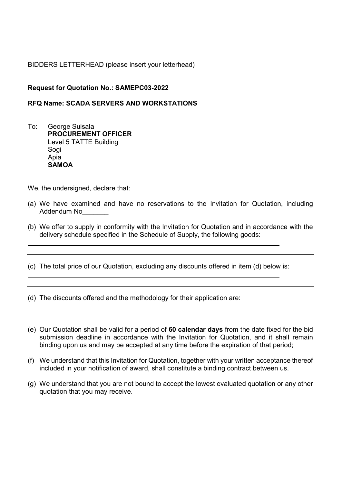## BIDDERS LETTERHEAD (please insert your letterhead)

## Request for Quotation No.: SAMEPC03-2022

## RFQ Name: SCADA SERVERS AND WORKSTATIONS

To: George Suisala PROCUREMENT OFFICER Level 5 TATTE Building Sogi Apia **SAMOA** 

We, the undersigned, declare that:

L

L

L

- (a) We have examined and have no reservations to the Invitation for Quotation, including Addendum No
- (b) We offer to supply in conformity with the Invitation for Quotation and in accordance with the delivery schedule specified in the Schedule of Supply, the following goods:
- (c) The total price of our Quotation, excluding any discounts offered in item (d) below is:

(d) The discounts offered and the methodology for their application are:

- (e) Our Quotation shall be valid for a period of 60 calendar days from the date fixed for the bid submission deadline in accordance with the Invitation for Quotation, and it shall remain binding upon us and may be accepted at any time before the expiration of that period;
- (f) We understand that this Invitation for Quotation, together with your written acceptance thereof included in your notification of award, shall constitute a binding contract between us.
- (g) We understand that you are not bound to accept the lowest evaluated quotation or any other quotation that you may receive.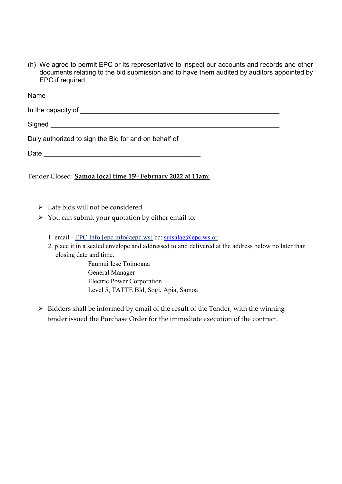(h) We agree to permit EPC or its representative to inspect our accounts and records and other documents relating to the bid submission and to have them audited by auditors appointed by EPC if required.

| Signed <b>Signed Signed</b>                                                      |
|----------------------------------------------------------------------------------|
| Duly authorized to sign the Bid for and on behalf of ___________________________ |
|                                                                                  |
| Tender Closed: Samoa local time 15 <sup>th</sup> February 2022 at 11am:          |

- $\triangleright$  Late bids will not be considered
- $\triangleright$  You can submit your quotation by either email to:
	- 1. email EPC Info [epc.info@epc.ws] cc: suisalag@epc.ws or
	- 2. place it in a sealed envelope and addressed to and delivered at the address below no later than closing date and time.

 Faumui Iese Toimoana General Manager Electric Power Corporation Level 5, TATTE Bld, Sogi, Apia, Samoa

 $\triangleright$  Bidders shall be informed by email of the result of the Tender, with the winning tender issued the Purchase Order for the immediate execution of the contract.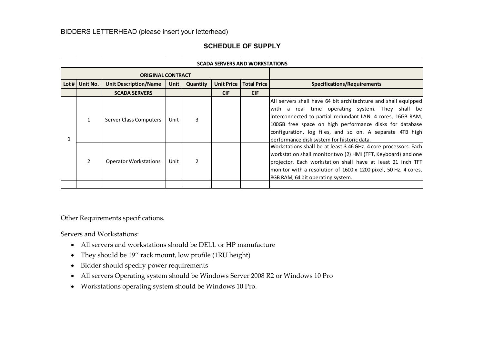|                          |                | BIDDERS LETTERHEAD (please insert your letterhead) |      |                |                                       |             |                                                                                                        |
|--------------------------|----------------|----------------------------------------------------|------|----------------|---------------------------------------|-------------|--------------------------------------------------------------------------------------------------------|
|                          |                |                                                    |      |                | <b>SCHEDULE OF SUPPLY</b>             |             |                                                                                                        |
|                          |                |                                                    |      |                | <b>SCADA SERVERS AND WORKSTATIONS</b> |             |                                                                                                        |
| <b>ORIGINAL CONTRACT</b> |                |                                                    |      |                |                                       |             |                                                                                                        |
|                          | Lot # Unit No. | <b>Unit Description/Name</b>                       | Unit | Quantity       | <b>Unit Price</b>                     | Total Price | <b>Specifications/Requirements</b>                                                                     |
|                          |                | <b>SCADA SERVERS</b>                               |      |                | <b>CIF</b>                            | <b>CIF</b>  |                                                                                                        |
|                          |                |                                                    |      |                |                                       |             | All servers shall have 64 bit architechture and shall equipped                                         |
|                          |                |                                                    |      |                |                                       |             | with a real time operating system. They shall be                                                       |
|                          | 1              | Server Class Computers                             | Unit | 3              |                                       |             | interconnected to partial redundant LAN. 4 cores, 16GB RAM,                                            |
|                          |                |                                                    |      |                |                                       |             | 100GB free space on high performance disks for database                                                |
| 1                        |                |                                                    |      |                |                                       |             | configuration, log files, and so on. A separate 4TB high<br>performance disk system for historic data. |
|                          |                |                                                    |      |                |                                       |             | Workstations shall be at least 3.46 GHz. 4 core processors. Each                                       |
|                          |                |                                                    |      |                |                                       |             | workstation shall monitor two (2) HMI (TFT, Keyboard) and one                                          |
|                          | $\overline{2}$ | <b>Operator Workstations</b>                       | Unit | $\overline{2}$ |                                       |             | projector. Each workstation shall have at least 21 inch TFT                                            |
|                          |                |                                                    |      |                |                                       |             | monitor with a resolution of 1600 x 1200 pixel, 50 Hz. 4 cores,                                        |
|                          |                |                                                    |      |                |                                       |             | 8GB RAM, 64 bit operating system.                                                                      |
|                          |                |                                                    |      |                |                                       |             |                                                                                                        |

# SCHEDULE OF SUPPLY

Other Requirements specifications.

Servers and Workstations:

- All servers and workstations should be DELL or HP manufacture
- They should be 19'' rack mount, low profile (1RU height)
- Bidder should specify power requirements
- All servers Operating system should be Windows Server 2008 R2 or Windows 10 Pro
- Workstations operating system should be Windows 10 Pro.